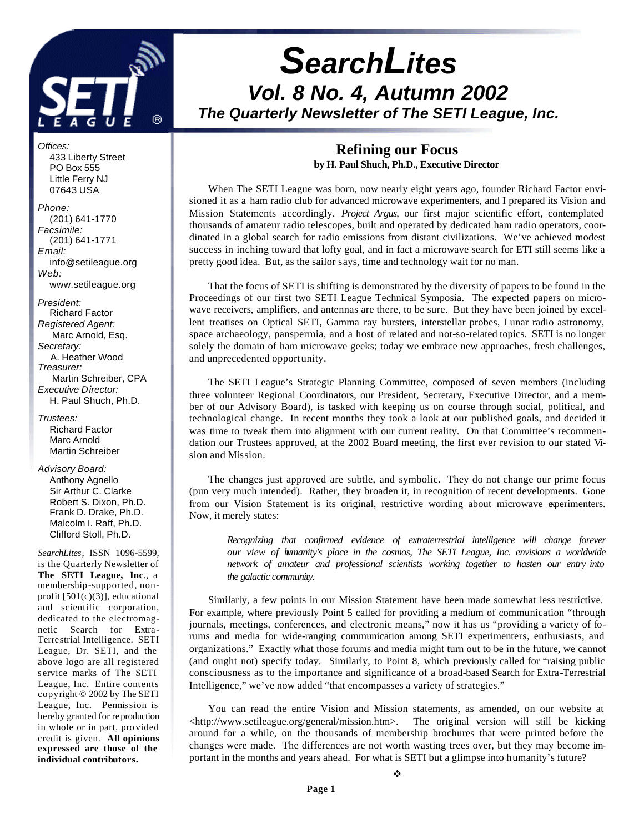

# *SearchLites Vol. 8 No. 4, Autumn 2002 The Quarterly Newsletter of The SETI League, Inc.*

### **Refining our Focus by H. Paul Shuch, Ph.D., Executive Director**

When The SETI League was born, now nearly eight years ago, founder Richard Factor envisioned it as a ham radio club for advanced microwave experimenters, and I prepared its Vision and Mission Statements accordingly. *Project Argus*, our first major scientific effort, contemplated thousands of amateur radio telescopes, built and operated by dedicated ham radio operators, coordinated in a global search for radio emissions from distant civilizations. We've achieved modest success in inching toward that lofty goal, and in fact a microwave search for ETI still seems like a pretty good idea. But, as the sailor says, time and technology wait for no man.

That the focus of SETI is shifting is demonstrated by the diversity of papers to be found in the Proceedings of our first two SETI League Technical Symposia. The expected papers on microwave receivers, amplifiers, and antennas are there, to be sure. But they have been joined by excellent treatises on Optical SETI, Gamma ray bursters, interstellar probes, Lunar radio astronomy, space archaeology, panspermia, and a host of related and not-so-related topics. SETI is no longer solely the domain of ham microwave geeks; today we embrace new approaches, fresh challenges, and unprecedented opportunity.

The SETI League's Strategic Planning Committee, composed of seven members (including three volunteer Regional Coordinators, our President, Secretary, Executive Director, and a member of our Advisory Board), is tasked with keeping us on course through social, political, and technological change. In recent months they took a look at our published goals, and decided it was time to tweak them into alignment with our current reality. On that Committee's recommendation our Trustees approved, at the 2002 Board meeting, the first ever revision to our stated Vision and Mission.

The changes just approved are subtle, and symbolic. They do not change our prime focus (pun very much intended). Rather, they broaden it, in recognition of recent developments. Gone from our Vision Statement is its original, restrictive wording about microwave experimenters. Now, it merely states:

*Recognizing that confirmed evidence of extraterrestrial intelligence will change forever our view of humanity's place in the cosmos, The SETI League, Inc. envisions a worldwide network of amateur and professional scientists working together to hasten our entry into the galactic community.*

Similarly, a few points in our Mission Statement have been made somewhat less restrictive. For example, where previously Point 5 called for providing a medium of communication "through journals, meetings, conferences, and electronic means," now it has us "providing a variety of forums and media for wide-ranging communication among SETI experimenters, enthusiasts, and organizations." Exactly what those forums and media might turn out to be in the future, we cannot (and ought not) specify today. Similarly, to Point 8, which previously called for "raising public consciousness as to the importance and significance of a broad-based Search for Extra-Terrestrial Intelligence," we've now added "that encompasses a variety of strategies."

You can read the entire Vision and Mission statements, as amended, on our website at  $\langle$ http://www.setileague.org/general/mission.htm>. The original version will still be kicking around for a while, on the thousands of membership brochures that were printed before the changes were made. The differences are not worth wasting trees over, but they may become important in the months and years ahead. For what is SETI but a glimpse into humanity's future?

v

 PO Box 555 Little Ferry NJ 07643 USA *Phone:* (201) 641-1770 *Facsimile:* (201) 641-1771 *Email:* info@setileague.org

433 Liberty Street

*Offices:*

*Web:* www.setileague.org

*President:* Richard Factor *Registered Agent:*  Marc Arnold, Esq. *Secretary:* A. Heather Wood *Treasurer:*  Martin Schreiber, CPA *Executive Director:* H. Paul Shuch, Ph.D.

*Trustees:* Richard Factor Marc Arnold Martin Schreiber

### *Advisory Board:*

 Anthony Agnello Sir Arthur C. Clarke Robert S. Dixon, Ph.D. Frank D. Drake, Ph.D. Malcolm I. Raff, Ph.D. Clifford Stoll, Ph.D.

*SearchLites*, ISSN 1096-5599, is the Quarterly Newsletter of **The SETI League, Inc**., a membership-supported, nonprofit [501(c)(3)], educational and scientific corporation, dedicated to the electromagnetic Search for Extra-Terrestrial Intelligence. SETI League, Dr. SETI, and the above logo are all registered s ervice marks of The SETI League, Inc. Entire contents copyright © 2002 by The SETI League, Inc. Permission is hereby granted for reproduction in whole or in part, provided credit is given. **All opinions expressed are those of the individual contributors.**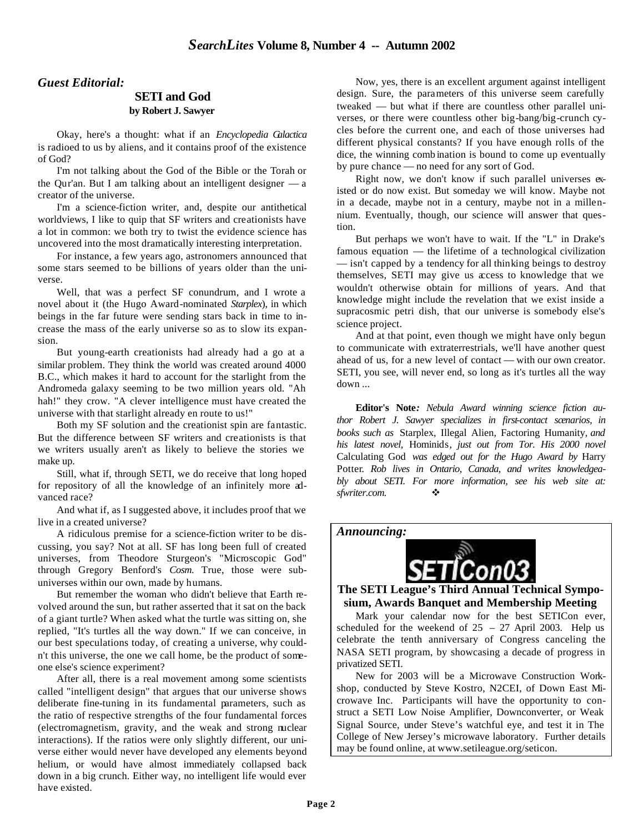#### *Guest Editorial:*

#### **SETI and God by Robert J. Sawyer**

Okay, here's a thought: what if an *Encyclopedia Galactica* is radioed to us by aliens, and it contains proof of the existence of God?

I'm not talking about the God of the Bible or the Torah or the Qur'an. But I am talking about an intelligent designer — a creator of the universe.

I'm a science-fiction writer, and, despite our antithetical worldviews, I like to quip that SF writers and creationists have a lot in common: we both try to twist the evidence science has uncovered into the most dramatically interesting interpretation.

For instance, a few years ago, astronomers announced that some stars seemed to be billions of years older than the universe.

Well, that was a perfect SF conundrum, and I wrote a novel about it (the Hugo Award-nominated *Starplex*), in which beings in the far future were sending stars back in time to increase the mass of the early universe so as to slow its expansion.

But young-earth creationists had already had a go at a similar problem. They think the world was created around 4000 B.C., which makes it hard to account for the starlight from the Andromeda galaxy seeming to be two million years old. "Ah hah!" they crow. "A clever intelligence must have created the universe with that starlight already en route to us!"

Both my SF solution and the creationist spin are fantastic. But the difference between SF writers and creationists is that we writers usually aren't as likely to believe the stories we make up.

Still, what if, through SETI, we do receive that long hoped for repository of all the knowledge of an infinitely more advanced race?

And what if, as I suggested above, it includes proof that we live in a created universe?

A ridiculous premise for a science-fiction writer to be discussing, you say? Not at all. SF has long been full of created universes, from Theodore Sturgeon's "Microscopic God" through Gregory Benford's *Cosm*. True, those were subuniverses within our own, made by humans.

But remember the woman who didn't believe that Earth revolved around the sun, but rather asserted that it sat on the back of a giant turtle? When asked what the turtle was sitting on, she replied, "It's turtles all the way down." If we can conceive, in our best speculations today, of creating a universe, why couldn't this universe, the one we call home, be the product of someone else's science experiment?

After all, there is a real movement among some scientists called "intelligent design" that argues that our universe shows deliberate fine-tuning in its fundamental parameters, such as the ratio of respective strengths of the four fundamental forces (electromagnetism, gravity, and the weak and strong nuclear interactions). If the ratios were only slightly different, our universe either would never have developed any elements beyond helium, or would have almost immediately collapsed back down in a big crunch. Either way, no intelligent life would ever have existed.

Now, yes, there is an excellent argument against intelligent design. Sure, the parameters of this universe seem carefully tweaked — but what if there are countless other parallel universes, or there were countless other big-bang/big-crunch cycles before the current one, and each of those universes had different physical constants? If you have enough rolls of the dice, the winning comb ination is bound to come up eventually by pure chance — no need for any sort of God.

Right now, we don't know if such parallel universes existed or do now exist. But someday we will know. Maybe not in a decade, maybe not in a century, maybe not in a millennium. Eventually, though, our science will answer that question.

But perhaps we won't have to wait. If the "L" in Drake's famous equation — the lifetime of a technological civilization — isn't capped by a tendency for all thinking beings to destroy themselves, SETI may give us access to knowledge that we wouldn't otherwise obtain for millions of years. And that knowledge might include the revelation that we exist inside a supracosmic petri dish, that our universe is somebody else's science project.

And at that point, even though we might have only begun to communicate with extraterrestrials, we'll have another quest ahead of us, for a new level of contact — with our own creator. SETI, you see, will never end, so long as it's turtles all the way down ...

**Editor's Note***: Nebula Award winning science fiction author Robert J. Sawyer specializes in first-contact scenarios, in books such as* Starplex, Illegal Alien, Factoring Humanity*, and his latest novel,* Hominids*, just out from Tor. His 2000 novel* Calculating God *was edged out for the Hugo Award by* Harry Potter*. Rob lives in Ontario, Canada, and writes knowledgeably about SETI. For more information, see his web site at: sfwriter.com.*  $\bullet$ 

*Announcing:*



**The SETI League's Third Annual Technical Symposium, Awards Banquet and Membership Meeting**

Mark your calendar now for the best SETICon ever, scheduled for the weekend of  $25 - 27$  April 2003. Help us celebrate the tenth anniversary of Congress canceling the NASA SETI program, by showcasing a decade of progress in privatized SETI.

New for 2003 will be a Microwave Construction Workshop, conducted by Steve Kostro, N2CEI, of Down East Microwave Inc. Participants will have the opportunity to construct a SETI Low Noise Amplifier, Downconverter, or Weak Signal Source, under Steve's watchful eye, and test it in The College of New Jersey's microwave laboratory. Further details may be found online, at www.setileague.org/seticon.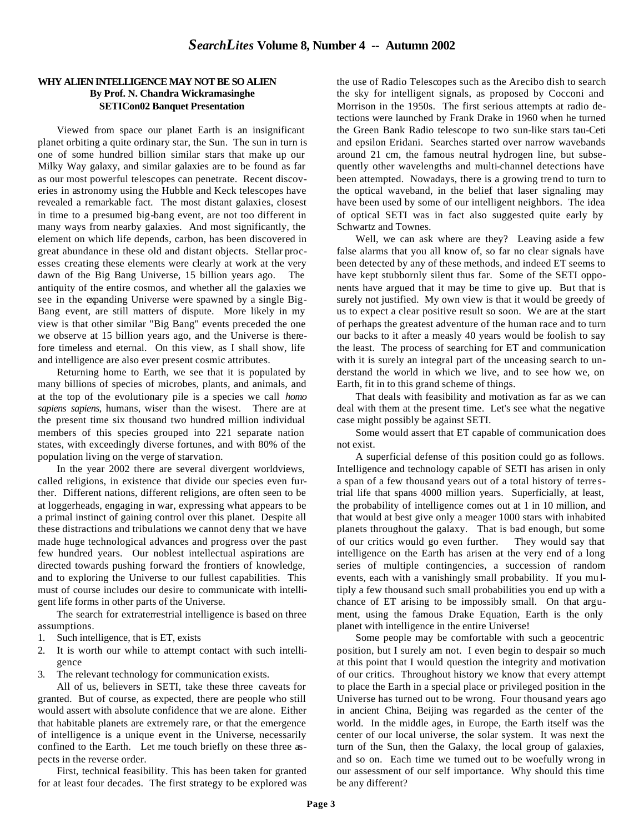#### **WHY ALIEN INTELLIGENCE MAY NOT BE SO ALIEN By Prof. N. Chandra Wickramasinghe SETICon02 Banquet Presentation**

Viewed from space our planet Earth is an insignificant planet orbiting a quite ordinary star, the Sun. The sun in turn is one of some hundred billion similar stars that make up our Milky Way galaxy, and similar galaxies are to be found as far as our most powerful telescopes can penetrate. Recent discoveries in astronomy using the Hubble and Keck telescopes have revealed a remarkable fact. The most distant galaxies, closest in time to a presumed big-bang event, are not too different in many ways from nearby galaxies. And most significantly, the element on which life depends, carbon, has been discovered in great abundance in these old and distant objects. Stellar processes creating these elements were clearly at work at the very dawn of the Big Bang Universe, 15 billion years ago. The antiquity of the entire cosmos, and whether all the galaxies we see in the expanding Universe were spawned by a single Big-Bang event, are still matters of dispute. More likely in my view is that other similar "Big Bang" events preceded the one we observe at 15 billion years ago, and the Universe is therefore timeless and eternal. On this view, as I shall show, life and intelligence are also ever present cosmic attributes.

Returning home to Earth, we see that it is populated by many billions of species of microbes, plants, and animals, and at the top of the evolutionary pile is a species we call *homo sapiens sapiens*, humans, wiser than the wisest. There are at the present time six thousand two hundred million individual members of this species grouped into 221 separate nation states, with exceedingly diverse fortunes, and with 80% of the population living on the verge of starvation.

In the year 2002 there are several divergent worldviews, called religions, in existence that divide our species even further. Different nations, different religions, are often seen to be at loggerheads, engaging in war, expressing what appears to be a primal instinct of gaining control over this planet. Despite all these distractions and tribulations we cannot deny that we have made huge technological advances and progress over the past few hundred years. Our noblest intellectual aspirations are directed towards pushing forward the frontiers of knowledge, and to exploring the Universe to our fullest capabilities. This must of course includes our desire to communicate with intelligent life forms in other parts of the Universe.

The search for extraterrestrial intelligence is based on three assumptions.

- 1. Such intelligence, that is ET, exists
- 2. It is worth our while to attempt contact with such intelligence
- 3. The relevant technology for communication exists.

All of us, believers in SETI, take these three caveats for granted. But of course, as expected, there are people who still would assert with absolute confidence that we are alone. Either that habitable planets are extremely rare, or that the emergence of intelligence is a unique event in the Universe, necessarily confined to the Earth. Let me touch briefly on these three aspects in the reverse order.

First, technical feasibility. This has been taken for granted for at least four decades. The first strategy to be explored was

the use of Radio Telescopes such as the Arecibo dish to search the sky for intelligent signals, as proposed by Cocconi and Morrison in the 1950s. The first serious attempts at radio detections were launched by Frank Drake in 1960 when he turned the Green Bank Radio telescope to two sun-like stars tau-Ceti and epsilon Eridani. Searches started over narrow wavebands around 21 cm, the famous neutral hydrogen line, but subsequently other wavelengths and multi-channel detections have been attempted. Nowadays, there is a growing trend to turn to the optical waveband, in the belief that laser signaling may have been used by some of our intelligent neighbors. The idea of optical SETI was in fact also suggested quite early by Schwartz and Townes.

Well, we can ask where are they? Leaving aside a few false alarms that you all know of, so far no clear signals have been detected by any of these methods, and indeed ET seems to have kept stubbornly silent thus far. Some of the SETI opponents have argued that it may be time to give up. But that is surely not justified. My own view is that it would be greedy of us to expect a clear positive result so soon. We are at the start of perhaps the greatest adventure of the human race and to turn our backs to it after a measly 40 years would be foolish to say the least. The process of searching for ET and communication with it is surely an integral part of the unceasing search to understand the world in which we live, and to see how we, on Earth, fit in to this grand scheme of things.

That deals with feasibility and motivation as far as we can deal with them at the present time. Let's see what the negative case might possibly be against SETI.

Some would assert that ET capable of communication does not exist.

A superficial defense of this position could go as follows. Intelligence and technology capable of SETI has arisen in only a span of a few thousand years out of a total history of terrestrial life that spans 4000 million years. Superficially, at least, the probability of intelligence comes out at 1 in 10 million, and that would at best give only a meager 1000 stars with inhabited planets throughout the galaxy. That is bad enough, but some of our critics would go even further. They would say that intelligence on the Earth has arisen at the very end of a long series of multiple contingencies, a succession of random events, each with a vanishingly small probability. If you mu ltiply a few thousand such small probabilities you end up with a chance of ET arising to be impossibly small. On that argument, using the famous Drake Equation, Earth is the only planet with intelligence in the entire Universe!

Some people may be comfortable with such a geocentric position, but I surely am not. I even begin to despair so much at this point that I would question the integrity and motivation of our critics. Throughout history we know that every attempt to place the Earth in a special place or privileged position in the Universe has turned out to be wrong. Four thousand years ago in ancient China, Beijing was regarded as the center of the world. In the middle ages, in Europe, the Earth itself was the center of our local universe, the solar system. It was next the turn of the Sun, then the Galaxy, the local group of galaxies, and so on. Each time we turned out to be woefully wrong in our assessment of our self importance. Why should this time be any different?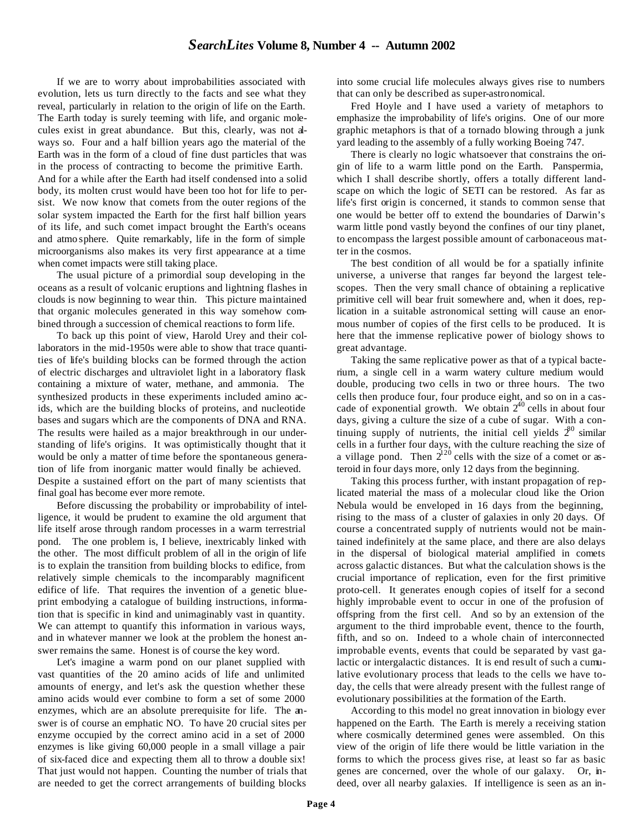If we are to worry about improbabilities associated with evolution, lets us turn directly to the facts and see what they reveal, particularly in relation to the origin of life on the Earth. The Earth today is surely teeming with life, and organic molecules exist in great abundance. But this, clearly, was not always so. Four and a half billion years ago the material of the Earth was in the form of a cloud of fine dust particles that was in the process of contracting to become the primitive Earth. And for a while after the Earth had itself condensed into a solid body, its molten crust would have been too hot for life to persist. We now know that comets from the outer regions of the solar system impacted the Earth for the first half billion years of its life, and such comet impact brought the Earth's oceans and atmo sphere. Quite remarkably, life in the form of simple microorganisms also makes its very first appearance at a time when comet impacts were still taking place.

The usual picture of a primordial soup developing in the oceans as a result of volcanic eruptions and lightning flashes in clouds is now beginning to wear thin. This picture maintained that organic molecules generated in this way somehow combined through a succession of chemical reactions to form life.

To back up this point of view, Harold Urey and their collaborators in the mid-1950s were able to show that trace quantities of life's building blocks can be formed through the action of electric discharges and ultraviolet light in a laboratory flask containing a mixture of water, methane, and ammonia. The synthesized products in these experiments included amino acids, which are the building blocks of proteins, and nucleotide bases and sugars which are the components of DNA and RNA. The results were hailed as a major breakthrough in our understanding of life's origins. It was optimistically thought that it would be only a matter of time before the spontaneous generation of life from inorganic matter would finally be achieved. Despite a sustained effort on the part of many scientists that final goal has become ever more remote.

Before discussing the probability or improbability of intelligence, it would be prudent to examine the old argument that life itself arose through random processes in a warm terrestrial pond. The one problem is, I believe, inextricably linked with the other. The most difficult problem of all in the origin of life is to explain the transition from building blocks to edifice, from relatively simple chemicals to the incomparably magnificent edifice of life. That requires the invention of a genetic blueprint embodying a catalogue of building instructions, information that is specific in kind and unimaginably vast in quantity. We can attempt to quantify this information in various ways, and in whatever manner we look at the problem the honest answer remains the same. Honest is of course the key word.

Let's imagine a warm pond on our planet supplied with vast quantities of the 20 amino acids of life and unlimited amounts of energy, and let's ask the question whether these amino acids would ever combine to form a set of some 2000 enzymes, which are an absolute prerequisite for life. The answer is of course an emphatic NO. To have 20 crucial sites per enzyme occupied by the correct amino acid in a set of 2000 enzymes is like giving 60,000 people in a small village a pair of six-faced dice and expecting them all to throw a double six! That just would not happen. Counting the number of trials that are needed to get the correct arrangements of building blocks

into some crucial life molecules always gives rise to numbers that can only be described as super-astronomical.

Fred Hoyle and I have used a variety of metaphors to emphasize the improbability of life's origins. One of our more graphic metaphors is that of a tornado blowing through a junk yard leading to the assembly of a fully working Boeing 747.

There is clearly no logic whatsoever that constrains the origin of life to a warm little pond on the Earth. Panspermia, which I shall describe shortly, offers a totally different landscape on which the logic of SETI can be restored. As far as life's first origin is concerned, it stands to common sense that one would be better off to extend the boundaries of Darwin's warm little pond vastly beyond the confines of our tiny planet, to encompass the largest possible amount of carbonaceous matter in the cosmos.

The best condition of all would be for a spatially infinite universe, a universe that ranges far beyond the largest telescopes. Then the very small chance of obtaining a replicative primitive cell will bear fruit somewhere and, when it does, replication in a suitable astronomical setting will cause an enormous number of copies of the first cells to be produced. It is here that the immense replicative power of biology shows to great advantage.

Taking the same replicative power as that of a typical bacterium, a single cell in a warm watery culture medium would double, producing two cells in two or three hours. The two cells then produce four, four produce eight, and so on in a cascade of exponential growth. We obtain  $2^{40}$  cells in about four days, giving a culture the size of a cube of sugar. With a continuing supply of nutrients, the initial cell yields  $2^{80}$  similar cells in a further four days, with the culture reaching the size of a village pond. Then  $2^{120}$  cells with the size of a comet or asteroid in four days more, only 12 days from the beginning.

Taking this process further, with instant propagation of replicated material the mass of a molecular cloud like the Orion Nebula would be enveloped in 16 days from the beginning, rising to the mass of a cluster of galaxies in only 20 days. Of course a concentrated supply of nutrients would not be maintained indefinitely at the same place, and there are also delays in the dispersal of biological material amplified in comets across galactic distances. But what the calculation shows is the crucial importance of replication, even for the first primitive proto-cell. It generates enough copies of itself for a second highly improbable event to occur in one of the profusion of offspring from the first cell. And so by an extension of the argument to the third improbable event, thence to the fourth, fifth, and so on. Indeed to a whole chain of interconnected improbable events, events that could be separated by vast galactic or intergalactic distances. It is end result of such a cumulative evolutionary process that leads to the cells we have today, the cells that were already present with the fullest range of evolutionary possibilities at the formation of the Earth.

According to this model no great innovation in biology ever happened on the Earth. The Earth is merely a receiving station where cosmically determined genes were assembled. On this view of the origin of life there would be little variation in the forms to which the process gives rise, at least so far as basic genes are concerned, over the whole of our galaxy. Or, indeed, over all nearby galaxies. If intelligence is seen as an in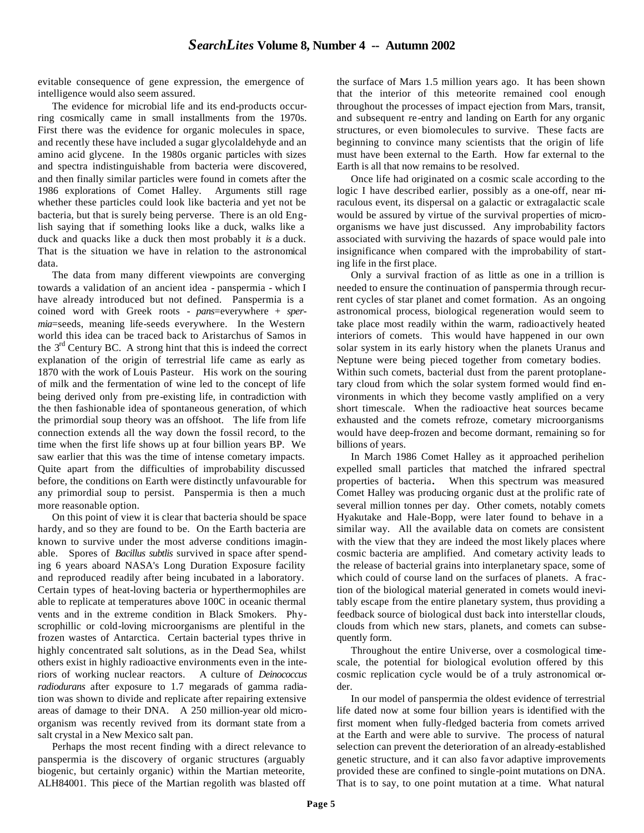evitable consequence of gene expression, the emergence of intelligence would also seem assured.

The evidence for microbial life and its end-products occurring cosmically came in small installments from the 1970s. First there was the evidence for organic molecules in space, and recently these have included a sugar glycolaldehyde and an amino acid glycene. In the 1980s organic particles with sizes and spectra indistinguishable from bacteria were discovered, and then finally similar particles were found in comets after the 1986 explorations of Comet Halley. Arguments still rage whether these particles could look like bacteria and yet not be bacteria, but that is surely being perverse. There is an old English saying that if something looks like a duck, walks like a duck and quacks like a duck then most probably it *is* a duck. That is the situation we have in relation to the astronomical data.

The data from many different viewpoints are converging towards a validation of an ancient idea - panspermia - which I have already introduced but not defined. Panspermia is a coined word with Greek roots - *pans*=everywhere + *spermia*=seeds, meaning life-seeds everywhere. In the Western world this idea can be traced back to Aristarchus of Samos in the  $3<sup>rd</sup>$  Century BC. A strong hint that this is indeed the correct explanation of the origin of terrestrial life came as early as 1870 with the work of Louis Pasteur. His work on the souring of milk and the fermentation of wine led to the concept of life being derived only from pre-existing life, in contradiction with the then fashionable idea of spontaneous generation, of which the primordial soup theory was an offshoot. The life from life connection extends all the way down the fossil record, to the time when the first life shows up at four billion years BP. We saw earlier that this was the time of intense cometary impacts. Quite apart from the difficulties of improbability discussed before, the conditions on Earth were distinctly unfavourable for any primordial soup to persist. Panspermia is then a much more reasonable option.

On this point of view it is clear that bacteria should be space hardy, and so they are found to be. On the Earth bacteria are known to survive under the most adverse conditions imaginable. Spores of *Bacillus subtlis* survived in space after spending 6 years aboard NASA's Long Duration Exposure facility and reproduced readily after being incubated in a laboratory. Certain types of heat-loving bacteria or hyperthermophiles are able to replicate at temperatures above 100C in oceanic thermal vents and in the extreme condition in Black Smokers. Physcrophillic or cold-loving microorganisms are plentiful in the frozen wastes of Antarctica. Certain bacterial types thrive in highly concentrated salt solutions, as in the Dead Sea, whilst others exist in highly radioactive environments even in the interiors of working nuclear reactors. A culture of *Deinococcus radiodurans* after exposure to 1.7 megarads of gamma radiation was shown to divide and replicate after repairing extensive areas of damage to their DNA. A 250 million-year old microorganism was recently revived from its dormant state from a salt crystal in a New Mexico salt pan.

Perhaps the most recent finding with a direct relevance to panspermia is the discovery of organic structures (arguably biogenic, but certainly organic) within the Martian meteorite, ALH84001. This piece of the Martian regolith was blasted off

the surface of Mars 1.5 million years ago. It has been shown that the interior of this meteorite remained cool enough throughout the processes of impact ejection from Mars, transit, and subsequent re-entry and landing on Earth for any organic structures, or even biomolecules to survive. These facts are beginning to convince many scientists that the origin of life must have been external to the Earth. How far external to the Earth is all that now remains to be resolved.

Once life had originated on a cosmic scale according to the logic I have described earlier, possibly as a one-off, near miraculous event, its dispersal on a galactic or extragalactic scale would be assured by virtue of the survival properties of microorganisms we have just discussed. Any improbability factors associated with surviving the hazards of space would pale into insignificance when compared with the improbability of starting life in the first place.

Only a survival fraction of as little as one in a trillion is needed to ensure the continuation of panspermia through recurrent cycles of star planet and comet formation. As an ongoing astronomical process, biological regeneration would seem to take place most readily within the warm, radioactively heated interiors of comets. This would have happened in our own solar system in its early history when the planets Uranus and Neptune were being pieced together from cometary bodies. Within such comets, bacterial dust from the parent protoplanetary cloud from which the solar system formed would find environments in which they become vastly amplified on a very short timescale. When the radioactive heat sources became exhausted and the comets refroze, cometary microorganisms would have deep-frozen and become dormant, remaining so for billions of years.

In March 1986 Comet Halley as it approached perihelion expelled small particles that matched the infrared spectral properties of bacteria**.** When this spectrum was measured Comet Halley was producing organic dust at the prolific rate of several million tonnes per day. Other comets, notably comets Hyakutake and Hale-Bopp, were later found to behave in a similar way. All the available data on comets are consistent with the view that they are indeed the most likely places where cosmic bacteria are amplified. And cometary activity leads to the release of bacterial grains into interplanetary space, some of which could of course land on the surfaces of planets. A fraction of the biological material generated in comets would inevitably escape from the entire planetary system, thus providing a feedback source of biological dust back into interstellar clouds, clouds from which new stars, planets, and comets can subsequently form.

Throughout the entire Universe, over a cosmological timescale, the potential for biological evolution offered by this cosmic replication cycle would be of a truly astronomical order.

In our model of panspermia the oldest evidence of terrestrial life dated now at some four billion years is identified with the first moment when fully-fledged bacteria from comets arrived at the Earth and were able to survive. The process of natural selection can prevent the deterioration of an already-established genetic structure, and it can also favor adaptive improvements provided these are confined to single-point mutations on DNA. That is to say, to one point mutation at a time. What natural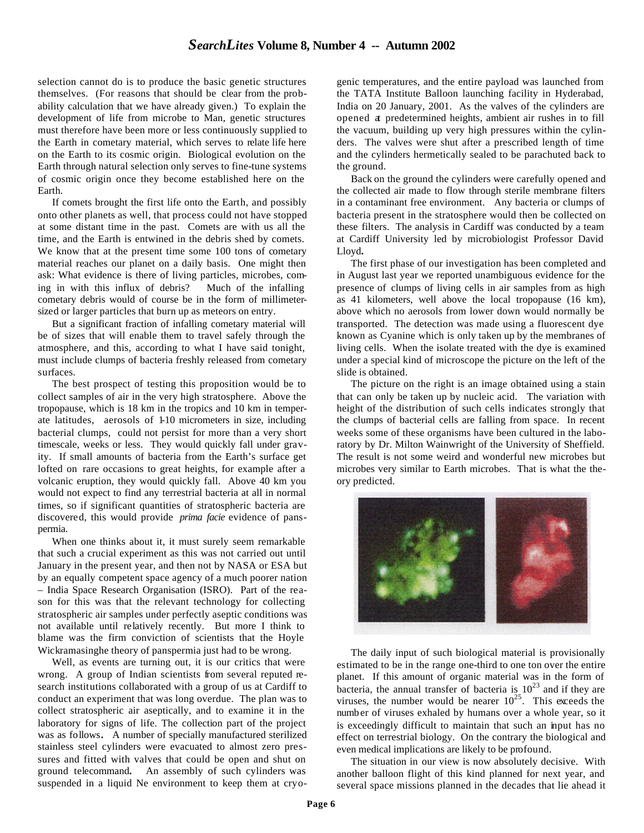selection cannot do is to produce the basic genetic structures themselves. (For reasons that should be clear from the probability calculation that we have already given.) To explain the development of life from microbe to Man, genetic structures must therefore have been more or less continuously supplied to the Earth in cometary material, which serves to relate life here on the Earth to its cosmic origin. Biological evolution on the Earth through natural selection only serves to fine-tune systems of cosmic origin once they become established here on the Earth.

If comets brought the first life onto the Earth, and possibly onto other planets as well, that process could not have stopped at some distant time in the past. Comets are with us all the time, and the Earth is entwined in the debris shed by comets. We know that at the present time some 100 tons of cometary material reaches our planet on a daily basis. One might then ask: What evidence is there of living particles, microbes, coming in with this influx of debris? Much of the infalling cometary debris would of course be in the form of millimetersized or larger particles that burn up as meteors on entry.

But a significant fraction of infalling cometary material will be of sizes that will enable them to travel safely through the atmosphere, and this, according to what I have said tonight, must include clumps of bacteria freshly released from cometary surfaces.

The best prospect of testing this proposition would be to collect samples of air in the very high stratosphere. Above the tropopause, which is 18 km in the tropics and 10 km in temperate latitudes, aerosols of 1-10 micrometers in size, including bacterial clumps, could not persist for more than a very short timescale, weeks or less. They would quickly fall under gravity. If small amounts of bacteria from the Earth's surface get lofted on rare occasions to great heights, for example after a volcanic eruption, they would quickly fall. Above 40 km you would not expect to find any terrestrial bacteria at all in normal times, so if significant quantities of stratospheric bacteria are discovered, this would provide *prima facie* evidence of panspermia.

When one thinks about it, it must surely seem remarkable that such a crucial experiment as this was not carried out until January in the present year, and then not by NASA or ESA but by an equally competent space agency of a much poorer nation – India Space Research Organisation (ISRO). Part of the reason for this was that the relevant technology for collecting stratospheric air samples under perfectly aseptic conditions was not available until relatively recently. But more I think to blame was the firm conviction of scientists that the Hoyle Wickramasinghe theory of panspermia just had to be wrong.

Well, as events are turning out, it is our critics that were wrong. A group of Indian scientists from several reputed research institutions collaborated with a group of us at Cardiff to conduct an experiment that was long overdue. The plan was to collect stratospheric air aseptically, and to examine it in the laboratory for signs of life. The collection part of the project was as follows**.** A number of specially manufactured sterilized stainless steel cylinders were evacuated to almost zero pressures and fitted with valves that could be open and shut on ground telecommand**.** An assembly of such cylinders was suspended in a liquid Ne environment to keep them at cryogenic temperatures, and the entire payload was launched from the TATA Institute Balloon launching facility in Hyderabad, India on 20 January, 2001. As the valves of the cylinders are opened at predetermined heights, ambient air rushes in to fill the vacuum, building up very high pressures within the cylinders. The valves were shut after a prescribed length of time and the cylinders hermetically sealed to be parachuted back to the ground.

Back on the ground the cylinders were carefully opened and the collected air made to flow through sterile membrane filters in a contaminant free environment. Any bacteria or clumps of bacteria present in the stratosphere would then be collected on these filters. The analysis in Cardiff was conducted by a team at Cardiff University led by microbiologist Professor David Lloyd**.** 

The first phase of our investigation has been completed and in August last year we reported unambiguous evidence for the presence of clumps of living cells in air samples from as high as 41 kilometers, well above the local tropopause (16 km), above which no aerosols from lower down would normally be transported. The detection was made using a fluorescent dye known as Cyanine which is only taken up by the membranes of living cells. When the isolate treated with the dye is examined under a special kind of microscope the picture on the left of the slide is obtained.

The picture on the right is an image obtained using a stain that can only be taken up by nucleic acid. The variation with height of the distribution of such cells indicates strongly that the clumps of bacterial cells are falling from space. In recent weeks some of these organisms have been cultured in the laboratory by Dr. Milton Wainwright of the University of Sheffield. The result is not some weird and wonderful new microbes but microbes very similar to Earth microbes. That is what the theory predicted.



The daily input of such biological material is provisionally estimated to be in the range one-third to one ton over the entire planet. If this amount of organic material was in the form of bacteria, the annual transfer of bacteria is  $10^{23}$  and if they are viruses, the number would be nearer  $10^{25}$ . This exceeds the number of viruses exhaled by humans over a whole year, so it is exceedingly difficult to maintain that such an input has no effect on terrestrial biology. On the contrary the biological and even medical implications are likely to be profound.

The situation in our view is now absolutely decisive. With another balloon flight of this kind planned for next year, and several space missions planned in the decades that lie ahead it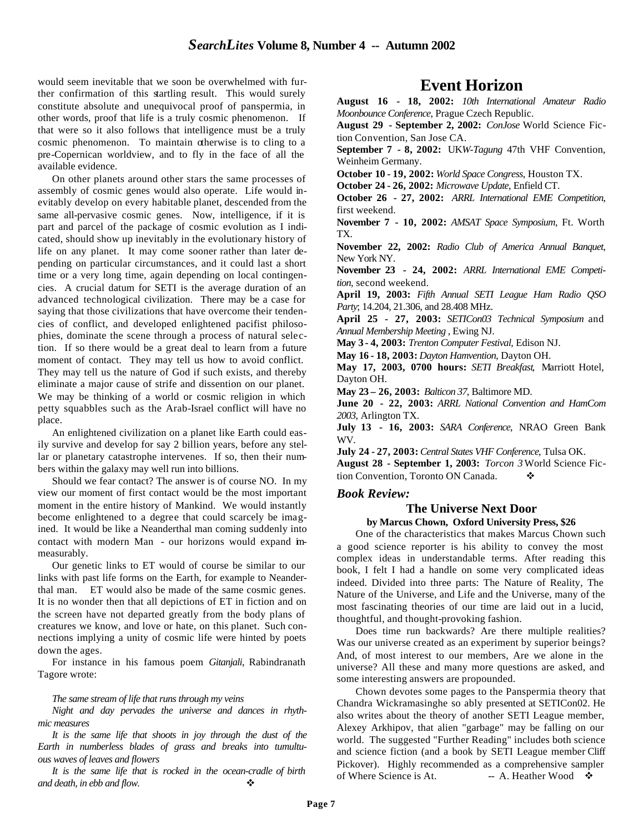would seem inevitable that we soon be overwhelmed with further confirmation of this startling result. This would surely constitute absolute and unequivocal proof of panspermia, in other words, proof that life is a truly cosmic phenomenon. If that were so it also follows that intelligence must be a truly cosmic phenomenon. To maintain otherwise is to cling to a pre-Copernican worldview, and to fly in the face of all the available evidence.

On other planets around other stars the same processes of assembly of cosmic genes would also operate. Life would inevitably develop on every habitable planet, descended from the same all-pervasive cosmic genes. Now, intelligence, if it is part and parcel of the package of cosmic evolution as I indicated, should show up inevitably in the evolutionary history of life on any planet. It may come sooner rather than later depending on particular circumstances, and it could last a short time or a very long time, again depending on local contingencies. A crucial datum for SETI is the average duration of an advanced technological civilization. There may be a case for saying that those civilizations that have overcome their tendencies of conflict, and developed enlightened pacifist philosophies, dominate the scene through a process of natural selection. If so there would be a great deal to learn from a future moment of contact. They may tell us how to avoid conflict. They may tell us the nature of God if such exists, and thereby eliminate a major cause of strife and dissention on our planet. We may be thinking of a world or cosmic religion in which petty squabbles such as the Arab-Israel conflict will have no place.

An enlightened civilization on a planet like Earth could easily survive and develop for say 2 billion years, before any stellar or planetary catastrophe intervenes. If so, then their numbers within the galaxy may well run into billions.

Should we fear contact? The answer is of course NO. In my view our moment of first contact would be the most important moment in the entire history of Mankind. We would instantly become enlightened to a degree that could scarcely be imagined. It would be like a Neanderthal man coming suddenly into contact with modern Man - our horizons would expand immeasurably.

Our genetic links to ET would of course be similar to our links with past life forms on the Earth, for example to Neanderthal man. ET would also be made of the same cosmic genes. It is no wonder then that all depictions of ET in fiction and on the screen have not departed greatly from the body plans of creatures we know, and love or hate, on this planet. Such connections implying a unity of cosmic life were hinted by poets down the ages.

For instance in his famous poem *Gitanjali*, Rabindranath Tagore wrote:

#### *The same stream of life that runs through my veins*

*Night and day pervades the universe and dances in rhythmic measures*

*It is the same life that shoots in joy through the dust of the Earth in numberless blades of grass and breaks into tumultuous waves of leaves and flowers*

*It is the same life that is rocked in the ocean-cradle of birth and death, in ebb and flow.* 

# **Event Horizon**

**August 16 - 18, 2002:** *10th International Amateur Radio Moonbounce Conference*, Prague Czech Republic.

**August 29 - September 2, 2002:** *ConJose* World Science Fiction Convention, San Jose CA.

**September 7 - 8, 2002:** UK*W-Tagung* 47th VHF Convention, Weinheim Germany.

**October 10 - 19, 2002:** *World Space Congress*, Houston TX.

**October 24 - 26, 2002:** *Microwave Update*, Enfield CT.

**October 26 - 27, 2002:** *ARRL International EME Competition*, first weekend.

**November 7 - 10, 2002:** *AMSAT Space Symposium*, Ft. Worth TX.

**November 22, 2002:** *Radio Club of America Annual Banquet*, New York NY.

**November 23 - 24, 2002:** *ARRL International EME Competition*, second weekend.

**April 19, 2003:** *Fifth Annual SETI League Ham Radio QSO Party*; 14.204, 21.306, and 28.408 MHz.

**April 25 - 27, 2003:** *SETICon03 Technical Symposium* and *Annual Membership Meeting* , Ewing NJ.

**May 3 - 4, 2003:** *Trenton Computer Festival*, Edison NJ.

**May 16 - 18, 2003:** *Dayton Hamvention*, Dayton OH.

**May 17, 2003, 0700 hours:** *SETI Breakfast*, Marriott Hotel, Dayton OH.

**May 23 – 26, 2003:** *Balticon 37*, Baltimore MD.

**June 20 - 22, 2003:** *ARRL National Convention and HamCom 2003*, Arlington TX.

**July 13 - 16, 2003:** *SARA Conference*, NRAO Green Bank WV.

**July 24 - 27, 2003:** *Central States VHF Conference*, Tulsa OK.

**August 28 - September 1, 2003:** *Torcon 3* World Science Fiction Convention, Toronto ON Canada.  $\bullet$ 

#### *Book Review:*

### **The Universe Next Door**

#### **by Marcus Chown, Oxford University Press, \$26**

One of the characteristics that makes Marcus Chown such a good science reporter is his ability to convey the most complex ideas in understandable terms. After reading this book, I felt I had a handle on some very complicated ideas indeed. Divided into three parts: The Nature of Reality, The Nature of the Universe, and Life and the Universe, many of the most fascinating theories of our time are laid out in a lucid, thoughtful, and thought-provoking fashion.

Does time run backwards? Are there multiple realities? Was our universe created as an experiment by superior beings? And, of most interest to our members, Are we alone in the universe? All these and many more questions are asked, and some interesting answers are propounded.

Chown devotes some pages to the Panspermia theory that Chandra Wickramasinghe so ably presented at SETICon02. He also writes about the theory of another SETI League member, Alexey Arkhipov, that alien "garbage" may be falling on our world. The suggested "Further Reading" includes both science and science fiction (and a book by SETI League member Cliff Pickover). Highly recommended as a comprehensive sampler of Where Science is At.  $- A$ . Heather Wood  $\bullet$